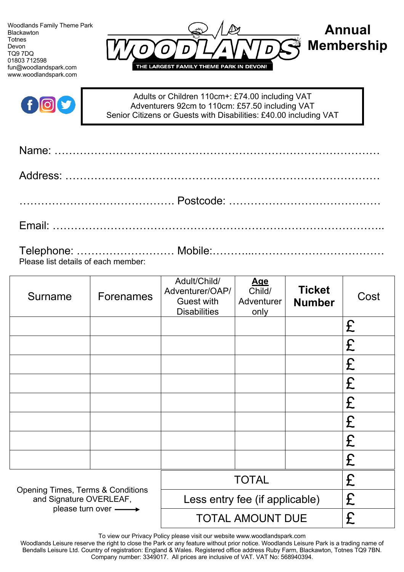Woodlands Family Theme Park Blackawton **Totnes** Devon TQ9 7DQ 01803 712598 fun@woodlandspark.com www.woodlandspark.com





Adults or Children 110cm+: £74.00 including VAT Adventurers 92cm to 110cm: £57.50 including VAT Senior Citizens or Guests with Disabilities: £40.00 including VAT

| Please list details of each member: |  |
|-------------------------------------|--|

| Surname                                                                                       | <b>Forenames</b> | Adult/Child/<br>Adventurer/OAP/<br><b>Guest with</b><br><b>Disabilities</b> | <u>Age</u><br>Child/<br>Adventurer<br>only | <b>Ticket</b><br><b>Number</b> | Cost |
|-----------------------------------------------------------------------------------------------|------------------|-----------------------------------------------------------------------------|--------------------------------------------|--------------------------------|------|
|                                                                                               |                  |                                                                             |                                            |                                | £    |
|                                                                                               |                  |                                                                             |                                            |                                | £    |
|                                                                                               |                  |                                                                             |                                            |                                | £    |
|                                                                                               |                  |                                                                             |                                            |                                | £    |
|                                                                                               |                  |                                                                             |                                            |                                | £    |
|                                                                                               |                  |                                                                             |                                            |                                | £    |
|                                                                                               |                  |                                                                             |                                            |                                | £    |
|                                                                                               |                  |                                                                             |                                            |                                | £    |
| <b>Opening Times, Terms &amp; Conditions</b><br>and Signature OVERLEAF,<br>please turn over - |                  | <b>TOTAL</b>                                                                |                                            | £                              |      |
|                                                                                               |                  | Less entry fee (if applicable)                                              |                                            |                                | £    |
|                                                                                               |                  | <b>TOTAL AMOUNT DUE</b>                                                     |                                            |                                | £    |

To view our Privacy Policy please visit our website www.woodlandspark.com

Woodlands Leisure reserve the right to close the Park or any feature without prior notice. Woodlands Leisure Park is a trading name of Bendalls Leisure Ltd. Country of registration: England & Wales. Registered office address Ruby Farm, Blackawton, Totnes TQ9 7BN. Company number: 3349017. All prices are inclusive of VAT. VAT No: 568940394.